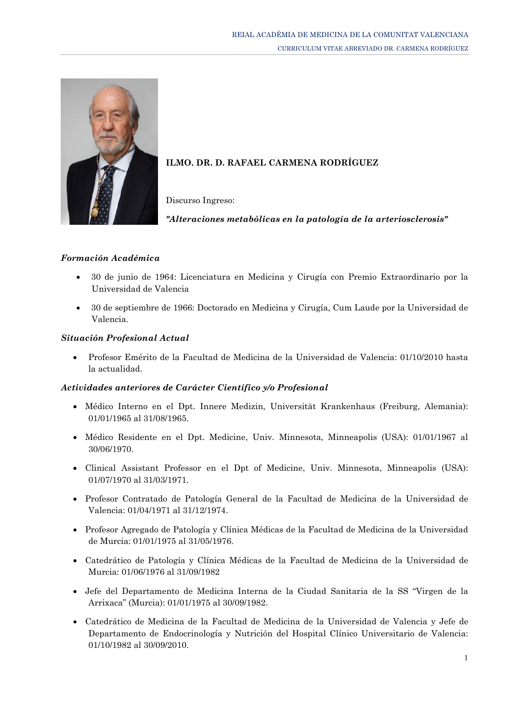

# **ILMO. DR. D. RAFAEL CARMENA RODRÍGUEZ**

Discurso Ingreso:

*"Alteraciones metabólicas en la patología de la arteriosclerosis"*

## *Formación Académica*

- 30 de junio de 1964: Licenciatura en Medicina y Cirugía con Premio Extraordinario por la Universidad de Valencia
- 30 de septiembre de 1966: Doctorado en Medicina y Cirugía, Cum Laude por la Universidad de Valencia.

#### *Situación Profesional Actual*

• Profesor Emérito de la Facultad de Medicina de la Universidad de Valencia: 01/10/2010 hasta la actualidad.

#### *Actividades anteriores de Carácter Científico y/o Profesional*

- Médico Interno en el Dpt. Innere Medizin, Universität Krankenhaus (Freiburg, Alemania): 01/01/1965 al 31/08/1965.
- Médico Residente en el Dpt. Medicine, Univ. Minnesota, Minneapolis (USA): 01/01/1967 al 30/06/1970.
- Clinical Assistant Professor en el Dpt of Medicine, Univ. Minnesota, Minneapolis (USA): 01/07/1970 al 31/03/1971.
- Profesor Contratado de Patología General de la Facultad de Medicina de la Universidad de Valencia: 01/04/1971 al 31/12/1974.
- Profesor Agregado de Patología y Clínica Médicas de la Facultad de Medicina de la Universidad de Murcia: 01/01/1975 al 31/05/1976.
- Catedrático de Patología y Clínica Médicas de la Facultad de Medicina de la Universidad de Murcia: 01/06/1976 al 31/09/1982
- Jefe del Departamento de Medicina Interna de la Ciudad Sanitaria de la SS "Virgen de la Arrixaca" (Murcia): 01/01/1975 al 30/09/1982.
- Catedrático de Medicina de la Facultad de Medicina de la Universidad de Valencia y Jefe de Departamento de Endocrinología y Nutrición del Hospital Clínico Universitario de Valencia: 01/10/1982 al 30/09/2010.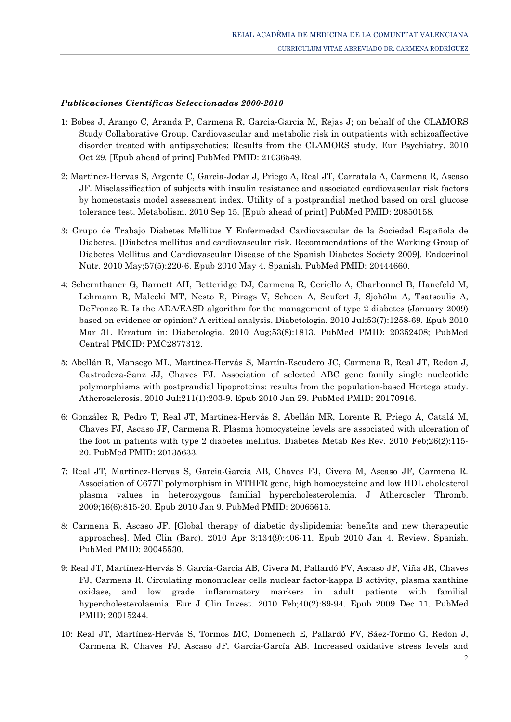#### *Publicaciones Científicas Seleccionadas 2000-2010*

- 1: Bobes J, Arango C, Aranda P, Carmena R, Garcia-Garcia M, Rejas J; on behalf of the CLAMORS Study Collaborative Group. Cardiovascular and metabolic risk in outpatients with schizoaffective disorder treated with antipsychotics: Results from the CLAMORS study. Eur Psychiatry. 2010 Oct 29. [Epub ahead of print] PubMed PMID: 21036549.
- 2: Martinez-Hervas S, Argente C, Garcia-Jodar J, Priego A, Real JT, Carratala A, Carmena R, Ascaso JF. Misclassification of subjects with insulin resistance and associated cardiovascular risk factors by homeostasis model assessment index. Utility of a postprandial method based on oral glucose tolerance test. Metabolism. 2010 Sep 15. [Epub ahead of print] PubMed PMID: 20850158.
- 3: Grupo de Trabajo Diabetes Mellitus Y Enfermedad Cardiovascular de la Sociedad Española de Diabetes. [Diabetes mellitus and cardiovascular risk. Recommendations of the Working Group of Diabetes Mellitus and Cardiovascular Disease of the Spanish Diabetes Society 2009]. Endocrinol Nutr. 2010 May;57(5):220-6. Epub 2010 May 4. Spanish. PubMed PMID: 20444660.
- 4: Schernthaner G, Barnett AH, Betteridge DJ, Carmena R, Ceriello A, Charbonnel B, Hanefeld M, Lehmann R, Malecki MT, Nesto R, Pirags V, Scheen A, Seufert J, Sjohölm A, Tsatsoulis A, DeFronzo R. Is the ADA/EASD algorithm for the management of type 2 diabetes (January 2009) based on evidence or opinion? A critical analysis. Diabetologia. 2010 Jul;53(7):1258-69. Epub 2010 Mar 31. Erratum in: Diabetologia. 2010 Aug;53(8):1813. PubMed PMID: 20352408; PubMed Central PMCID: PMC2877312.
- 5: Abellán R, Mansego ML, Martínez-Hervás S, Martín-Escudero JC, Carmena R, Real JT, Redon J, Castrodeza-Sanz JJ, Chaves FJ. Association of selected ABC gene family single nucleotide polymorphisms with postprandial lipoproteins: results from the population-based Hortega study. Atherosclerosis. 2010 Jul;211(1):203-9. Epub 2010 Jan 29. PubMed PMID: 20170916.
- 6: González R, Pedro T, Real JT, Martínez-Hervás S, Abellán MR, Lorente R, Priego A, Catalá M, Chaves FJ, Ascaso JF, Carmena R. Plasma homocysteine levels are associated with ulceration of the foot in patients with type 2 diabetes mellitus. Diabetes Metab Res Rev. 2010 Feb;26(2):115- 20. PubMed PMID: 20135633.
- 7: Real JT, Martinez-Hervas S, Garcia-Garcia AB, Chaves FJ, Civera M, Ascaso JF, Carmena R. Association of C677T polymorphism in MTHFR gene, high homocysteine and low HDL cholesterol plasma values in heterozygous familial hypercholesterolemia. J Atheroscler Thromb. 2009;16(6):815-20. Epub 2010 Jan 9. PubMed PMID: 20065615.
- 8: Carmena R, Ascaso JF. [Global therapy of diabetic dyslipidemia: benefits and new therapeutic approaches]. Med Clin (Barc). 2010 Apr 3;134(9):406-11. Epub 2010 Jan 4. Review. Spanish. PubMed PMID: 20045530.
- 9: Real JT, Martínez-Hervás S, García-García AB, Civera M, Pallardó FV, Ascaso JF, Viña JR, Chaves FJ, Carmena R. Circulating mononuclear cells nuclear factor-kappa B activity, plasma xanthine oxidase, and low grade inflammatory markers in adult patients with familial hypercholesterolaemia. Eur J Clin Invest. 2010 Feb;40(2):89-94. Epub 2009 Dec 11. PubMed PMID: 20015244.
- 10: Real JT, Martínez-Hervás S, Tormos MC, Domenech E, Pallardó FV, Sáez-Tormo G, Redon J, Carmena R, Chaves FJ, Ascaso JF, García-García AB. Increased oxidative stress levels and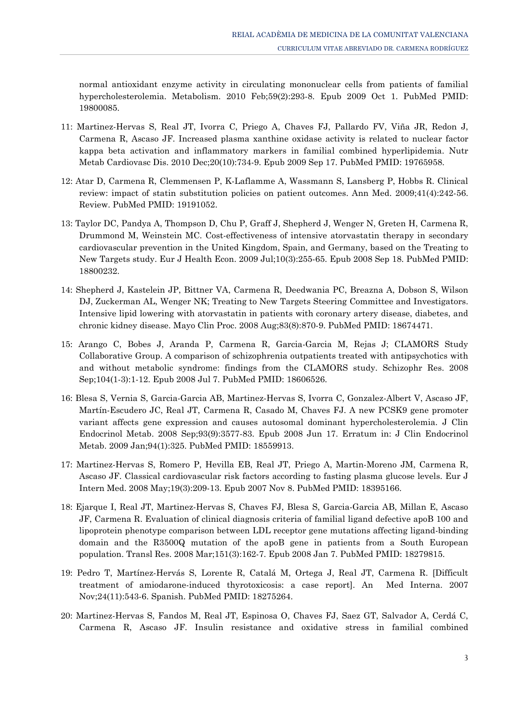normal antioxidant enzyme activity in circulating mononuclear cells from patients of familial hypercholesterolemia. Metabolism. 2010 Feb;59(2):293-8. Epub 2009 Oct 1. PubMed PMID: 19800085.

- 11: Martinez-Hervas S, Real JT, Ivorra C, Priego A, Chaves FJ, Pallardo FV, Viña JR, Redon J, Carmena R, Ascaso JF. Increased plasma xanthine oxidase activity is related to nuclear factor kappa beta activation and inflammatory markers in familial combined hyperlipidemia. Nutr Metab Cardiovasc Dis. 2010 Dec;20(10):734-9. Epub 2009 Sep 17. PubMed PMID: 19765958.
- 12: Atar D, Carmena R, Clemmensen P, K-Laflamme A, Wassmann S, Lansberg P, Hobbs R. Clinical review: impact of statin substitution policies on patient outcomes. Ann Med. 2009;41(4):242-56. Review. PubMed PMID: 19191052.
- 13: Taylor DC, Pandya A, Thompson D, Chu P, Graff J, Shepherd J, Wenger N, Greten H, Carmena R, Drummond M, Weinstein MC. Cost-effectiveness of intensive atorvastatin therapy in secondary cardiovascular prevention in the United Kingdom, Spain, and Germany, based on the Treating to New Targets study. Eur J Health Econ. 2009 Jul;10(3):255-65. Epub 2008 Sep 18. PubMed PMID: 18800232.
- 14: Shepherd J, Kastelein JP, Bittner VA, Carmena R, Deedwania PC, Breazna A, Dobson S, Wilson DJ, Zuckerman AL, Wenger NK; Treating to New Targets Steering Committee and Investigators. Intensive lipid lowering with atorvastatin in patients with coronary artery disease, diabetes, and chronic kidney disease. Mayo Clin Proc. 2008 Aug;83(8):870-9. PubMed PMID: 18674471.
- 15: Arango C, Bobes J, Aranda P, Carmena R, Garcia-Garcia M, Rejas J; CLAMORS Study Collaborative Group. A comparison of schizophrenia outpatients treated with antipsychotics with and without metabolic syndrome: findings from the CLAMORS study. Schizophr Res. 2008 Sep;104(1-3):1-12. Epub 2008 Jul 7. PubMed PMID: 18606526.
- 16: Blesa S, Vernia S, Garcia-Garcia AB, Martinez-Hervas S, Ivorra C, Gonzalez-Albert V, Ascaso JF, Martín-Escudero JC, Real JT, Carmena R, Casado M, Chaves FJ. A new PCSK9 gene promoter variant affects gene expression and causes autosomal dominant hypercholesterolemia. J Clin Endocrinol Metab. 2008 Sep;93(9):3577-83. Epub 2008 Jun 17. Erratum in: J Clin Endocrinol Metab. 2009 Jan;94(1):325. PubMed PMID: 18559913.
- 17: Martinez-Hervas S, Romero P, Hevilla EB, Real JT, Priego A, Martin-Moreno JM, Carmena R, Ascaso JF. Classical cardiovascular risk factors according to fasting plasma glucose levels. Eur J Intern Med. 2008 May;19(3):209-13. Epub 2007 Nov 8. PubMed PMID: 18395166.
- 18: Ejarque I, Real JT, Martinez-Hervas S, Chaves FJ, Blesa S, Garcia-Garcia AB, Millan E, Ascaso JF, Carmena R. Evaluation of clinical diagnosis criteria of familial ligand defective apoB 100 and lipoprotein phenotype comparison between LDL receptor gene mutations affecting ligand-binding domain and the R3500Q mutation of the apoB gene in patients from a South European population. Transl Res. 2008 Mar;151(3):162-7. Epub 2008 Jan 7. PubMed PMID: 18279815.
- 19: Pedro T, Martínez-Hervás S, Lorente R, Catalá M, Ortega J, Real JT, Carmena R. [Difficult treatment of amiodarone-induced thyrotoxicosis: a case report]. An Med Interna. 2007 Nov;24(11):543-6. Spanish. PubMed PMID: 18275264.
- 20: Martinez-Hervas S, Fandos M, Real JT, Espinosa O, Chaves FJ, Saez GT, Salvador A, Cerdá C, Carmena R, Ascaso JF. Insulin resistance and oxidative stress in familial combined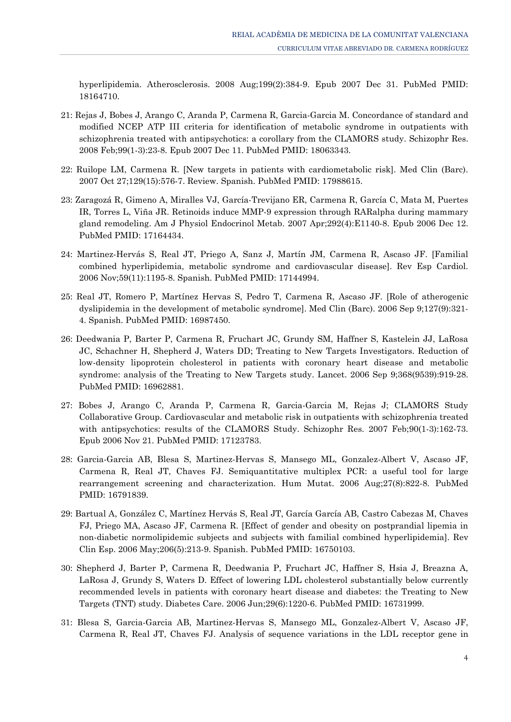hyperlipidemia. Atherosclerosis. 2008 Aug;199(2):384-9. Epub 2007 Dec 31. PubMed PMID: 18164710.

- 21: Rejas J, Bobes J, Arango C, Aranda P, Carmena R, Garcia-Garcia M. Concordance of standard and modified NCEP ATP III criteria for identification of metabolic syndrome in outpatients with schizophrenia treated with antipsychotics: a corollary from the CLAMORS study. Schizophr Res. 2008 Feb;99(1-3):23-8. Epub 2007 Dec 11. PubMed PMID: 18063343.
- 22: Ruilope LM, Carmena R. [New targets in patients with cardiometabolic risk]. Med Clin (Barc). 2007 Oct 27;129(15):576-7. Review. Spanish. PubMed PMID: 17988615.
- 23: Zaragozá R, Gimeno A, Miralles VJ, García-Trevijano ER, Carmena R, García C, Mata M, Puertes IR, Torres L, Viña JR. Retinoids induce MMP-9 expression through RARalpha during mammary gland remodeling. Am J Physiol Endocrinol Metab. 2007 Apr;292(4):E1140-8. Epub 2006 Dec 12. PubMed PMID: 17164434.
- 24: Martinez-Hervás S, Real JT, Priego A, Sanz J, Martín JM, Carmena R, Ascaso JF. [Familial combined hyperlipidemia, metabolic syndrome and cardiovascular disease]. Rev Esp Cardiol. 2006 Nov;59(11):1195-8. Spanish. PubMed PMID: 17144994.
- 25: Real JT, Romero P, Martínez Hervas S, Pedro T, Carmena R, Ascaso JF. [Role of atherogenic dyslipidemia in the development of metabolic syndrome]. Med Clin (Barc). 2006 Sep 9;127(9):321- 4. Spanish. PubMed PMID: 16987450.
- 26: Deedwania P, Barter P, Carmena R, Fruchart JC, Grundy SM, Haffner S, Kastelein JJ, LaRosa JC, Schachner H, Shepherd J, Waters DD; Treating to New Targets Investigators. Reduction of low-density lipoprotein cholesterol in patients with coronary heart disease and metabolic syndrome: analysis of the Treating to New Targets study. Lancet. 2006 Sep 9;368(9539):919-28. PubMed PMID: 16962881.
- 27: Bobes J, Arango C, Aranda P, Carmena R, Garcia-Garcia M, Rejas J; CLAMORS Study Collaborative Group. Cardiovascular and metabolic risk in outpatients with schizophrenia treated with antipsychotics: results of the CLAMORS Study. Schizophr Res. 2007 Feb;90(1-3):162-73. Epub 2006 Nov 21. PubMed PMID: 17123783.
- 28: Garcia-Garcia AB, Blesa S, Martinez-Hervas S, Mansego ML, Gonzalez-Albert V, Ascaso JF, Carmena R, Real JT, Chaves FJ. Semiquantitative multiplex PCR: a useful tool for large rearrangement screening and characterization. Hum Mutat. 2006 Aug;27(8):822-8. PubMed PMID: 16791839.
- 29: Bartual A, González C, Martínez Hervás S, Real JT, García García AB, Castro Cabezas M, Chaves FJ, Priego MA, Ascaso JF, Carmena R. [Effect of gender and obesity on postprandial lipemia in non-diabetic normolipidemic subjects and subjects with familial combined hyperlipidemia]. Rev Clin Esp. 2006 May;206(5):213-9. Spanish. PubMed PMID: 16750103.
- 30: Shepherd J, Barter P, Carmena R, Deedwania P, Fruchart JC, Haffner S, Hsia J, Breazna A, LaRosa J, Grundy S, Waters D. Effect of lowering LDL cholesterol substantially below currently recommended levels in patients with coronary heart disease and diabetes: the Treating to New Targets (TNT) study. Diabetes Care. 2006 Jun;29(6):1220-6. PubMed PMID: 16731999.
- 31: Blesa S, Garcia-Garcia AB, Martinez-Hervas S, Mansego ML, Gonzalez-Albert V, Ascaso JF, Carmena R, Real JT, Chaves FJ. Analysis of sequence variations in the LDL receptor gene in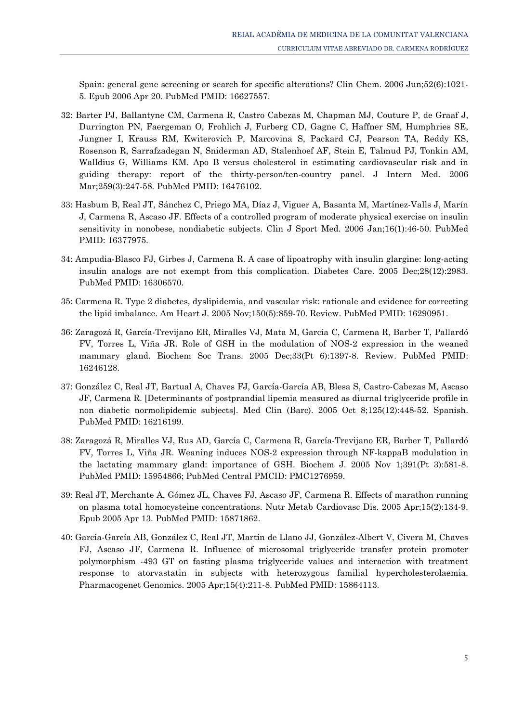Spain: general gene screening or search for specific alterations? Clin Chem. 2006 Jun;52(6):1021- 5. Epub 2006 Apr 20. PubMed PMID: 16627557.

- 32: Barter PJ, Ballantyne CM, Carmena R, Castro Cabezas M, Chapman MJ, Couture P, de Graaf J, Durrington PN, Faergeman O, Frohlich J, Furberg CD, Gagne C, Haffner SM, Humphries SE, Jungner I, Krauss RM, Kwiterovich P, Marcovina S, Packard CJ, Pearson TA, Reddy KS, Rosenson R, Sarrafzadegan N, Sniderman AD, Stalenhoef AF, Stein E, Talmud PJ, Tonkin AM, Walldius G, Williams KM. Apo B versus cholesterol in estimating cardiovascular risk and in guiding therapy: report of the thirty-person/ten-country panel. J Intern Med. 2006 Mar;259(3):247-58. PubMed PMID: 16476102.
- 33: Hasbum B, Real JT, Sánchez C, Priego MA, Díaz J, Viguer A, Basanta M, Martínez-Valls J, Marín J, Carmena R, Ascaso JF. Effects of a controlled program of moderate physical exercise on insulin sensitivity in nonobese, nondiabetic subjects. Clin J Sport Med. 2006 Jan;16(1):46-50. PubMed PMID: 16377975.
- 34: Ampudia-Blasco FJ, Girbes J, Carmena R. A case of lipoatrophy with insulin glargine: long-acting insulin analogs are not exempt from this complication. Diabetes Care. 2005 Dec;28(12):2983. PubMed PMID: 16306570.
- 35: Carmena R. Type 2 diabetes, dyslipidemia, and vascular risk: rationale and evidence for correcting the lipid imbalance. Am Heart J. 2005 Nov;150(5):859-70. Review. PubMed PMID: 16290951.
- 36: Zaragozá R, García-Trevijano ER, Miralles VJ, Mata M, García C, Carmena R, Barber T, Pallardó FV, Torres L, Viña JR. Role of GSH in the modulation of NOS-2 expression in the weaned mammary gland. Biochem Soc Trans. 2005 Dec;33(Pt 6):1397-8. Review. PubMed PMID: 16246128.
- 37: González C, Real JT, Bartual A, Chaves FJ, García-García AB, Blesa S, Castro-Cabezas M, Ascaso JF, Carmena R. [Determinants of postprandial lipemia measured as diurnal triglyceride profile in non diabetic normolipidemic subjects]. Med Clin (Barc). 2005 Oct 8;125(12):448-52. Spanish. PubMed PMID: 16216199.
- 38: Zaragozá R, Miralles VJ, Rus AD, García C, Carmena R, García-Trevijano ER, Barber T, Pallardó FV, Torres L, Viña JR. Weaning induces NOS-2 expression through NF-kappaB modulation in the lactating mammary gland: importance of GSH. Biochem J. 2005 Nov 1;391(Pt 3):581-8. PubMed PMID: 15954866; PubMed Central PMCID: PMC1276959.
- 39: Real JT, Merchante A, Gómez JL, Chaves FJ, Ascaso JF, Carmena R. Effects of marathon running on plasma total homocysteine concentrations. Nutr Metab Cardiovasc Dis. 2005 Apr;15(2):134-9. Epub 2005 Apr 13. PubMed PMID: 15871862.
- 40: García-García AB, González C, Real JT, Martín de Llano JJ, González-Albert V, Civera M, Chaves FJ, Ascaso JF, Carmena R. Influence of microsomal triglyceride transfer protein promoter polymorphism -493 GT on fasting plasma triglyceride values and interaction with treatment response to atorvastatin in subjects with heterozygous familial hypercholesterolaemia. Pharmacogenet Genomics. 2005 Apr;15(4):211-8. PubMed PMID: 15864113.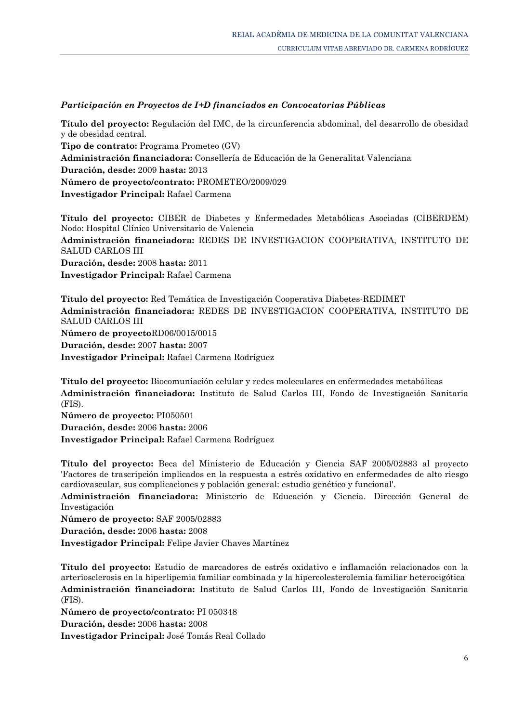## *Participación en Proyectos de I+D financiados en Convocatorias Públicas*

**Título del proyecto:** Regulación del IMC, de la circunferencia abdominal, del desarrollo de obesidad y de obesidad central.

**Tipo de contrato:** Programa Prometeo (GV)

**Administración financiadora:** Consellería de Educación de la Generalitat Valenciana

**Duración, desde:** 2009 **hasta:** 2013

**Número de proyecto/contrato:** PROMETEO/2009/029

**Investigador Principal:** Rafael Carmena

**Título del proyecto:** CIBER de Diabetes y Enfermedades Metabólicas Asociadas (CIBERDEM) Nodo: Hospital Clínico Universitario de Valencia

**Administración financiadora:** REDES DE INVESTIGACION COOPERATIVA, INSTITUTO DE SALUD CARLOS III **Duración, desde:** 2008 **hasta:** 2011

**Investigador Principal:** Rafael Carmena

**Título del proyecto:** Red Temática de Investigación Cooperativa Diabetes-REDIMET **Administración financiadora:** REDES DE INVESTIGACION COOPERATIVA, INSTITUTO DE SALUD CARLOS III **Número de proyecto**RD06/0015/0015 **Duración, desde:** 2007 **hasta:** 2007 **Investigador Principal:** Rafael Carmena Rodríguez

**Título del proyecto:** Biocomuniación celular y redes moleculares en enfermedades metabólicas **Administración financiadora:** Instituto de Salud Carlos III, Fondo de Investigación Sanitaria (FIS).

**Número de proyecto:** PI050501

**Duración, desde:** 2006 **hasta:** 2006

**Investigador Principal:** Rafael Carmena Rodríguez

**Título del proyecto:** Beca del Ministerio de Educación y Ciencia SAF 2005/02883 al proyecto 'Factores de trascripción implicados en la respuesta a estrés oxidativo en enfermedades de alto riesgo cardiovascular, sus complicaciones y población general: estudio genético y funcional'.

**Administración financiadora:** Ministerio de Educación y Ciencia. Dirección General de Investigación

**Número de proyecto:** SAF 2005/02883

**Duración, desde:** 2006 **hasta:** 2008

**Investigador Principal:** Felipe Javier Chaves Martínez

**Título del proyecto:** Estudio de marcadores de estrés oxidativo e inflamación relacionados con la arteriosclerosis en la hiperlipemia familiar combinada y la hipercolesterolemia familiar heterocigótica **Administración financiadora:** Instituto de Salud Carlos III, Fondo de Investigación Sanitaria (FIS).

**Número de proyecto/contrato:** PI 050348

**Duración, desde:** 2006 **hasta:** 2008

**Investigador Principal:** José Tomás Real Collado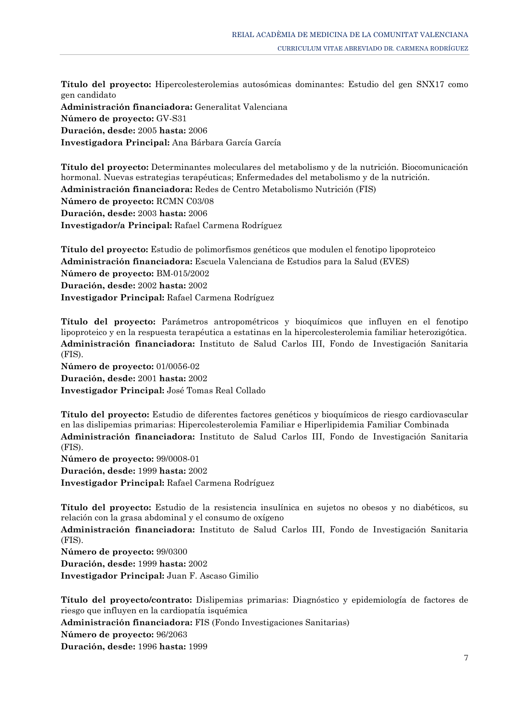**Título del proyecto:** Hipercolesterolemias autosómicas dominantes: Estudio del gen SNX17 como gen candidato **Administración financiadora:** Generalitat Valenciana **Número de proyecto:** GV-S31 **Duración, desde:** 2005 **hasta:** 2006 **Investigadora Principal:** Ana Bárbara García García

**Título del proyecto:** Determinantes moleculares del metabolismo y de la nutrición. Biocomunicación hormonal. Nuevas estrategias terapéuticas; Enfermedades del metabolismo y de la nutrición. **Administración financiadora:** Redes de Centro Metabolismo Nutrición (FIS) **Número de proyecto:** RCMN C03/08 **Duración, desde:** 2003 **hasta:** 2006 **Investigador/a Principal:** Rafael Carmena Rodríguez

**Título del proyecto:** Estudio de polimorfismos genéticos que modulen el fenotipo lipoproteico **Administración financiadora:** Escuela Valenciana de Estudios para la Salud (EVES) **Número de proyecto:** BM-015/2002 **Duración, desde:** 2002 **hasta:** 2002 **Investigador Principal:** Rafael Carmena Rodríguez

**Título del proyecto:** Parámetros antropométricos y bioquímicos que influyen en el fenotipo lipoproteico y en la respuesta terapéutica a estatinas en la hipercolesterolemia familiar heterozigótica. **Administración financiadora:** Instituto de Salud Carlos III, Fondo de Investigación Sanitaria (FIS).

**Número de proyecto:** 01/0056-02 **Duración, desde:** 2001 **hasta:** 2002 **Investigador Principal:** José Tomas Real Collado

**Título del proyecto:** Estudio de diferentes factores genéticos y bioquímicos de riesgo cardiovascular en las dislipemias primarias: Hipercolesterolemia Familiar e Hiperlipidemia Familiar Combinada **Administración financiadora:** Instituto de Salud Carlos III, Fondo de Investigación Sanitaria (FIS).

**Número de proyecto:** 99/0008-01 **Duración, desde:** 1999 **hasta:** 2002 **Investigador Principal:** Rafael Carmena Rodríguez

**Título del proyecto:** Estudio de la resistencia insulínica en sujetos no obesos y no diabéticos, su relación con la grasa abdominal y el consumo de oxígeno

**Administración financiadora:** Instituto de Salud Carlos III, Fondo de Investigación Sanitaria (FIS).

**Número de proyecto:** 99/0300

**Duración, desde:** 1999 **hasta:** 2002

**Investigador Principal:** Juan F. Ascaso Gimilio

**Título del proyecto/contrato:** Dislipemias primarias: Diagnóstico y epidemiología de factores de riesgo que influyen en la cardiopatía isquémica **Administración financiadora:** FIS (Fondo Investigaciones Sanitarias) **Número de proyecto:** 96/2063 **Duración, desde:** 1996 **hasta:** 1999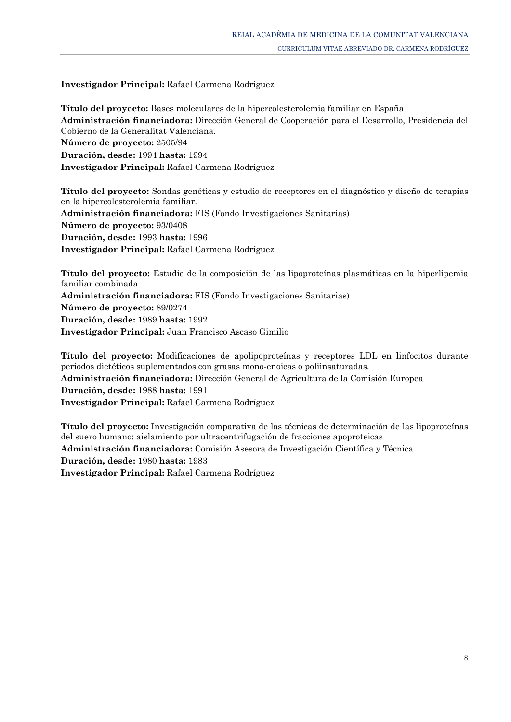# **Investigador Principal:** Rafael Carmena Rodríguez

**Título del proyecto:** Bases moleculares de la hipercolesterolemia familiar en España **Administración financiadora:** Dirección General de Cooperación para el Desarrollo, Presidencia del Gobierno de la Generalitat Valenciana. **Número de proyecto:** 2505/94 **Duración, desde:** 1994 **hasta:** 1994

**Investigador Principal:** Rafael Carmena Rodríguez

**Título del proyecto:** Sondas genéticas y estudio de receptores en el diagnóstico y diseño de terapias en la hipercolesterolemia familiar.

**Administración financiadora:** FIS (Fondo Investigaciones Sanitarias) **Número de proyecto:** 93/0408 **Duración, desde:** 1993 **hasta:** 1996

**Investigador Principal:** Rafael Carmena Rodríguez

**Título del proyecto:** Estudio de la composición de las lipoproteínas plasmáticas en la hiperlipemia familiar combinada

**Administración financiadora:** FIS (Fondo Investigaciones Sanitarias) **Número de proyecto:** 89/0274 **Duración, desde:** 1989 **hasta:** 1992 **Investigador Principal:** Juan Francisco Ascaso Gimilio

**Título del proyecto:** Modificaciones de apolipoproteínas y receptores LDL en linfocitos durante períodos dietéticos suplementados con grasas mono-enoicas o poliinsaturadas. **Administración financiadora:** Dirección General de Agricultura de la Comisión Europea **Duración, desde:** 1988 **hasta:** 1991 **Investigador Principal:** Rafael Carmena Rodríguez

**Título del proyecto:** Investigación comparativa de las técnicas de determinación de las lipoproteínas del suero humano: aislamiento por ultracentrifugación de fracciones apoproteicas **Administración financiadora:** Comisión Asesora de Investigación Científica y Técnica **Duración, desde:** 1980 **hasta:** 1983 **Investigador Principal:** Rafael Carmena Rodríguez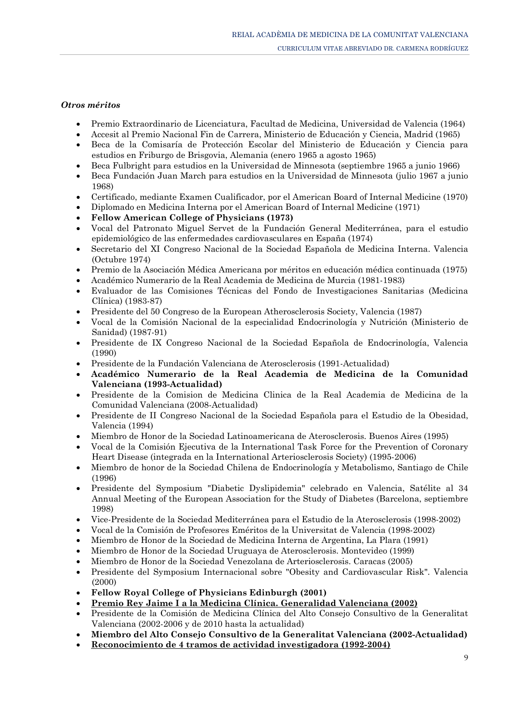# *Otros méritos*

- Premio Extraordinario de Licenciatura, Facultad de Medicina, Universidad de Valencia (1964)
- Accesit al Premio Nacional Fin de Carrera, Ministerio de Educación y Ciencia, Madrid (1965)
- Beca de la Comisaría de Protección Escolar del Ministerio de Educación y Ciencia para estudios en Friburgo de Brisgovia, Alemania (enero 1965 a agosto 1965)
- Beca Fulbright para estudios en la Universidad de Minnesota (septiembre 1965 a junio 1966)
- Beca Fundación Juan March para estudios en la Universidad de Minnesota (julio 1967 a junio 1968)
- Certificado, mediante Examen Cualificador, por el American Board of Internal Medicine (1970)
- Diplomado en Medicina Interna por el American Board of Internal Medicine (1971)
- **Fellow American College of Physicians (1973)**
- Vocal del Patronato Miguel Servet de la Fundación General Mediterránea, para el estudio epidemiológico de las enfermedades cardiovasculares en España (1974)
- Secretario del XI Congreso Nacional de la Sociedad Española de Medicina Interna. Valencia (Octubre 1974)
- Premio de la Asociación Médica Americana por méritos en educación médica continuada (1975)
- Académico Numerario de la Real Academia de Medicina de Murcia (1981-1983)
- Evaluador de las Comisiones Técnicas del Fondo de Investigaciones Sanitarias (Medicina Clínica) (1983-87)
- Presidente del 50 Congreso de la European Atherosclerosis Society, Valencia (1987)
- Vocal de la Comisión Nacional de la especialidad Endocrinología y Nutrición (Ministerio de Sanidad) (1987-91)
- Presidente de IX Congreso Nacional de la Sociedad Española de Endocrinología, Valencia (1990)
- Presidente de la Fundación Valenciana de Aterosclerosis (1991-Actualidad)
- **Académico Numerario de la Real Academia de Medicina de la Comunidad Valenciana (1993-Actualidad)**
- Presidente de la Comision de Medicina Clinica de la Real Academia de Medicina de la Comunidad Valenciana (2008-Actualidad)
- Presidente de II Congreso Nacional de la Sociedad Española para el Estudio de la Obesidad, Valencia (1994)
- Miembro de Honor de la Sociedad Latinoamericana de Aterosclerosis. Buenos Aires (1995)
- Vocal de la Comisión Ejecutiva de la International Task Force for the Prevention of Coronary Heart Disease (integrada en la International Arteriosclerosis Society) (1995-2006)
- Miembro de honor de la Sociedad Chilena de Endocrinología y Metabolismo, Santiago de Chile (1996)
- Presidente del Symposium "Diabetic Dyslipidemia" celebrado en Valencia, Satélite al 34 Annual Meeting of the European Association for the Study of Diabetes (Barcelona, septiembre 1998)
- Vice-Presidente de la Sociedad Mediterránea para el Estudio de la Aterosclerosis (1998-2002)
- Vocal de la Comisión de Profesores Eméritos de la Universitat de Valencia (1998-2002)
- Miembro de Honor de la Sociedad de Medicina Interna de Argentina, La Plara (1991)
- Miembro de Honor de la Sociedad Uruguaya de Aterosclerosis. Montevideo (1999)
- Miembro de Honor de la Sociedad Venezolana de Arteriosclerosis. Caracas (2005)
- Presidente del Symposium Internacional sobre "Obesity and Cardiovascular Risk". Valencia (2000)
- **Fellow Royal College of Physicians Edinburgh (2001)**
- **Premio Rey Jaime I a la Medicina Clínica. Generalidad Valenciana (2002)**
- Presidente de la Comisión de Medicina Clínica del Alto Consejo Consultivo de la Generalitat Valenciana (2002-2006 y de 2010 hasta la actualidad)
- **Miembro del Alto Consejo Consultivo de la Generalitat Valenciana (2002-Actualidad)**
- **Reconocimiento de 4 tramos de actividad investigadora (1992-2004)**